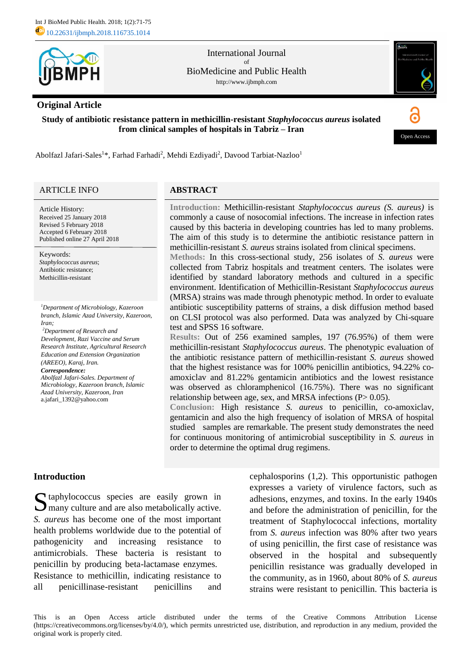

International Journal of BioMedicine and Public Health http://www.ijbmph.com

# **Original Article**

**Study of antibiotic resistance pattern in methicillin-resistant** *Staphylococcus aureus* **isolated from clinical samples of hospitals in Tabriz – Iran**



Abolfazl Jafari-Sales<sup>1</sup>\*, Farhad Farhadi<sup>2</sup>, Mehdi Ezdiyadi<sup>2</sup>, Davood Tarbiat-Nazloo<sup>1</sup>

## ARTICLE INFO

Article History: Received 25 January 2018 Revised 5 February 2018 Accepted 6 February 2018 Published online 27 April 2018

Keywords: *Staphylococcus aureus*; Antibiotic resistance; Methicillin-resistant

*<sup>1</sup>Department of Microbiology, Kazeroon branch, Islamic Azad University, Kazeroon, Iran;*

*Department of Research and <sup>2</sup> Development, Razi Vaccine and Serum Research Institute, Agricultural Research Education and Extension Organization (AREEO), Karaj, Iran. Correspondence: Abolfazl Jafari-Sales. Department of* 

*Microbiology, Kazeroon branch, Islamic Azad University, Kazeroon, Iran* a.jafari\_1392@yahoo.com

## **ABSTRACT**

**Introduction:** Methicillin-resistant *Staphylococcus aureus (S. aureus)* is commonly a cause of nosocomial infections. The increase in infection rates caused by this bacteria in developing countries has led to many problems. The aim of this study is to determine the antibiotic resistance pattern in methicillin-resistant *S. aureus* strains isolated from clinical specimens.

**Methods:** In this cross-sectional study, 256 isolates of *S. aureus* were collected from Tabriz hospitals and treatment centers. The isolates were identified by standard laboratory methods and cultured in a specific environment. Identification of Methicillin-Resistant *Staphylococcus aureus* (MRSA) strains was made through phenotypic method. In order to evaluate antibiotic susceptibility patterns of strains, a disk diffusion method based on CLSI protocol was also performed. Data was analyzed by Chi-square test and SPSS 16 software.

**Results:** Out of 256 examined samples, 197 (76.95%) of them were methicillin-resistant *Staphylococcus aureus*. The phenotypic evaluation of the antibiotic resistance pattern of methicillin-resistant *S. aureus* showed that the highest resistance was for 100% penicillin antibiotics, 94.22% coamoxiclav and 81.22% gentamicin antibiotics and the lowest resistance was observed as chloramphenicol (16.75%). There was no significant relationship between age, sex, and MRSA infections  $(P> 0.05)$ .

**Conclusion:** High resistance *S. aureus* to penicillin, co-amoxiclav, gentamicin and also the high frequency of isolation of MRSA of hospital studied samples are remarkable. The present study demonstrates the need for continuous monitoring of antimicrobial susceptibility in *S. aureus* in order to determine the optimal drug regimens.

# **Introduction**

taphylococcus species are easily grown in Sy taphylococcus species are easily grown in Sy many culture and are also metabolically active. *S. aureus* has become one of the most important health problems worldwide due to the potential of pathogenicity and increasing resistance to antimicrobials. These bacteria is resistant to penicillin by producing beta-lactamase enzymes. Resistance to methicillin, indicating resistance to all penicillinase-resistant penicillins and

cephalosporins (1,2). This opportunistic pathogen expresses a variety of virulence factors, such as adhesions, enzymes, and toxins. In the early 1940s and before the administration of penicillin, for the treatment of Staphylococcal infections, mortality from *S. aureus* infection was 80% after two years of using penicillin, the first case of resistance was observed in the hospital and subsequently penicillin resistance was gradually developed in the community, as in 1960, about 80% of *S. aureus* strains were resistant to penicillin. This bacteria is

This is an Open Access article distributed under the terms of the Creative Commons Attribution License (https://creativecommons.org/licenses/by/4.0/), which permits unrestricted use, distribution, and reproduction in any medium, provided the original work is properly cited.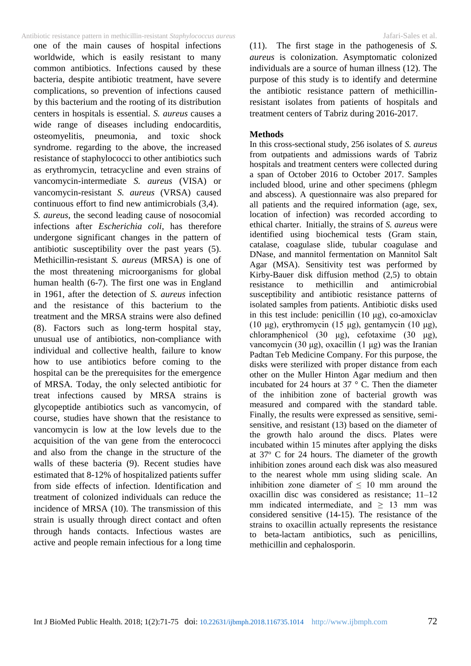### Antibiotic resistance pattern in methicillin-resistant *Staphylococcus aureus* Jafari-Sales et al.

one of the main causes of hospital infections worldwide, which is easily resistant to many common antibiotics. Infections caused by these bacteria, despite antibiotic treatment, have severe complications, so prevention of infections caused by this bacterium and the rooting of its distribution centers in hospitals is essential. *S. aureus* causes a wide range of diseases including endocarditis, osteomyelitis, pneumonia, and toxic shock syndrome. regarding to the above, the increased resistance of staphylococci to other antibiotics such as erythromycin, tetracycline and even strains of vancomycin-intermediate *S. aureus* (VISA) or vancomycin-resistant *S. aureus* (VRSA) caused continuous effort to find new antimicrobials (3,4).

*S. aureus*, the second leading cause of nosocomial infections after *Escherichia coli*, has therefore undergone significant changes in the pattern of antibiotic susceptibility over the past years (5). Methicillin-resistant *S. aureus* (MRSA) is one of the most threatening microorganisms for global human health (6-7). The first one was in England in 1961, after the detection of *S. aureus* infection and the resistance of this bacterium to the treatment and the MRSA strains were also defined (8). Factors such as long-term hospital stay, unusual use of antibiotics, non-compliance with individual and collective health, failure to know how to use antibiotics before coming to the hospital can be the prerequisites for the emergence of MRSA*.* Today, the only selected antibiotic for treat infections caused by MRSA strains is glycopeptide antibiotics such as vancomycin, of course, studies have shown that the resistance to vancomycin is low at the low levels due to the acquisition of the van gene from the enterococci and also from the change in the structure of the walls of these bacteria (9). Recent studies have estimated that 8-12% of hospitalized patients suffer from side effects of infection. Identification and treatment of colonized individuals can reduce the incidence of MRSA (10). The transmission of this strain is usually through direct contact and often through hands contacts. Infectious wastes are active and people remain infectious for a long time (11). The first stage in the pathogenesis of *S. aureus* is colonization. Asymptomatic colonized individuals are a source of human illness (12). The purpose of this study is to identify and determine the antibiotic resistance pattern of methicillinresistant isolates from patients of hospitals and treatment centers of Tabriz during 2016-2017.

### **Methods**

In this cross-sectional study, 256 isolates of *S. aureus*  from outpatients and admissions wards of Tabriz hospitals and treatment centers were collected during a span of October 2016 to October 2017. Samples included blood, urine and other specimens (phlegm and abscess). A questionnaire was also prepared for all patients and the required information (age, sex, location of infection) was recorded according to ethical charter. Initially, the strains of *S. aureus* were identified using biochemical tests (Gram stain, catalase, coagulase slide, tubular coagulase and DNase, and mannitol fermentation on Mannitol Salt Agar (MSA). Sensitivity test was performed by Kirby-Bauer disk diffusion method  $(2.5)$  to obtain resistance to methicillin and antimicrobial susceptibility and antibiotic resistance patterns of isolated samples from patients. Antibiotic disks used in this test include: penicillin  $(10 \mu g)$ , co-amoxiclav (10 μg), erythromycin (15 μg), gentamycin (10 μg), chloramphenicol (30 μg), cefotaxime (30 μg), vancomycin (30 μg), oxacillin (1 μg) was the Iranian Padtan Teb Medicine Company. For this purpose, the disks were sterilized with proper distance from each other on the Muller Hinton Agar medium and then incubated for 24 hours at 37 ° C. Then the diameter of the inhibition zone of bacterial growth was measured and compared with the standard table. Finally, the results were expressed as sensitive, semisensitive, and resistant (13) based on the diameter of the growth halo around the discs. Plates were incubated within 15 minutes after applying the disks at 37<sup>o</sup> C for 24 hours. The diameter of the growth inhibition zones around each disk was also measured to the nearest whole mm using sliding scale. An inhibition zone diameter of  $\leq 10$  mm around the oxacillin disc was considered as resistance; 11–12 mm indicated intermediate, and  $\geq$  13 mm was considered sensitive (14-15). The resistance of the strains to oxacillin actually represents the resistance to beta-lactam antibiotics, such as penicillins, methicillin and cephalosporin.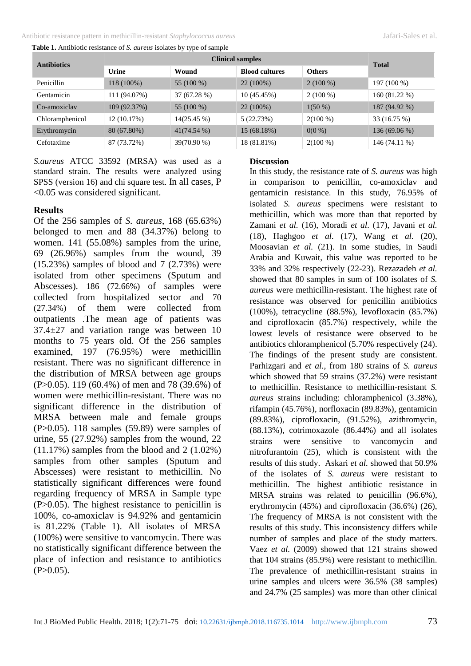Antibiotic resistance pattern in methicillin-resistant *Staphylococcus aureus* Jafari-Sales et al.

| Table 1. Antibiotic resistance of S. aureus isolates by type of sample |  |  |  |  |  |  |  |
|------------------------------------------------------------------------|--|--|--|--|--|--|--|
|------------------------------------------------------------------------|--|--|--|--|--|--|--|

| <b>Antibiotics</b> |              | <b>Total</b>  |                       |               |                |
|--------------------|--------------|---------------|-----------------------|---------------|----------------|
|                    | Urine        | Wound         | <b>Blood cultures</b> | <b>Others</b> |                |
| Penicillin         | 118 (100%)   | 55 (100 %)    | 22 (100%)             | $2(100\%)$    | 197 (100 %)    |
| Gentamicin         | 111 (94.07%) | 37 (67.28 %)  | 10 (45.45%)           | $2(100\%)$    | 160 (81.22 %)  |
| Co-amoxiclay       | 109 (92.37%) | 55 (100 %)    | $22(100\%)$           | $1(50\%)$     | 187 (94.92 %)  |
| Chloramphenicol    | 12 (10.17%)  | 14(25.45%)    | 5(22.73%)             | $2(100\%)$    | 33 (16.75 %)   |
| Erythromycin       | 80 (67.80%)  | $41(74.54\%)$ | 15 (68.18%)           | $0(0\%)$      | $136(69.06\%)$ |
| Cefotaxime         | 87 (73.72%)  | 39(70.90 %)   | 18 (81.81%)           | $2(100\%)$    | 146 (74.11 %)  |

*S.aureus* ATCC 33592 (MRSA) was used as a standard strain. The results were analyzed using SPSS (version 16) and chi square test. In all cases, P <0.05 was considered significant.

## **Results**

Of the 256 samples of *S. aureus*, 168 (65.63%) belonged to men and 88 (34.37%) belong to women. 141 (55.08%) samples from the urine, 69 (26.96%) samples from the wound, 39  $(15.23%)$  samples of blood and 7  $(2.73%)$  were isolated from other specimens (Sputum and Abscesses). 186 (72.66%) of samples were collected from hospitalized sector and 70 (27.34%) of them were collected from outpatients .The mean age of patients was 37.4±27 and variation range was between 10 months to 75 years old. Of the 256 samples examined, 197 (76.95%) were methicillin resistant. There was no significant difference in the distribution of MRSA between age groups (P>0.05). 119 (60.4%) of men and 78 (39.6%) of women were methicillin-resistant. There was no significant difference in the distribution of MRSA between male and female groups (P>0.05). 118 samples (59.89) were samples of urine, 55 (27.92%) samples from the wound, 22 (11.17%) samples from the blood and 2 (1.02%) samples from other samples (Sputum and Abscesses) were resistant to methicillin. No statistically significant differences were found regarding frequency of MRSA in Sample type (P>0.05). The highest resistance to penicillin is 100%, co-amoxiclav is 94.92% and gentamicin is 81.22% (Table 1). All isolates of MRSA (100%) were sensitive to vancomycin. There was no statistically significant difference between the place of infection and resistance to antibiotics  $(P>0.05)$ .

# **Discussion**

In this study, the resistance rate of *S. aureus* was high in comparison to penicillin, co-amoxiclav and gentamicin resistance. In this study, 76.95% of isolated *S. aureus* specimens were resistant to methicillin, which was more than that reported by Zamani *et al.* (16), Moradi *et al.* (17), Javani *et al.* (18), Haghgoo *et al.* (17), Wang *et al.* (20), Moosavian *et al.* (21). In some studies, in Saudi Arabia and Kuwait, this value was reported to be 33% and 32% respectively (22-23). Rezazadeh *et al.* showed that 80 samples in sum of 100 isolates of *S. aureus* were methicillin-resistant. The highest rate of resistance was observed for penicillin antibiotics (100%), tetracycline (88.5%), levofloxacin (85.7%) and ciprofloxacin (85.7%) respectively, while the lowest levels of resistance were observed to be antibiotics chloramphenicol (5.70% respectively (24). The findings of the present study are consistent. Parhizgari and *et al.*, from 180 strains of *S. aureus* which showed that 59 strains (37.2%) were resistant to methicillin. Resistance to methicillin-resistant *S. aureus* strains including: chloramphenicol (3.38%), rifampin (45.76%), norfloxacin (89.83%), gentamicin (89.83%), ciprofloxacin, (91.52%), azithromycin, (88.13%), cotrimoxazole (86.44%) and all isolates strains were sensitive to vancomycin and nitrofurantoin (25), which is consistent with the results of this study. Askari *et al.* showed that 50.9% of the isolates of *S. aureus* were resistant to methicillin. The highest antibiotic resistance in MRSA strains was related to penicillin (96.6%), erythromycin (45%) and ciprofloxacin (36.6%) (26), The frequency of MRSA is not consistent with the results of this study. This inconsistency differs while number of samples and place of the study matters. Vaez *et al.* (2009) showed that 121 strains showed that 104 strains (85.9%) were resistant to methicillin. The prevalence of methicillin-resistant strains in urine samples and ulcers were 36.5% (38 samples) and 24.7% (25 samples) was more than other clinical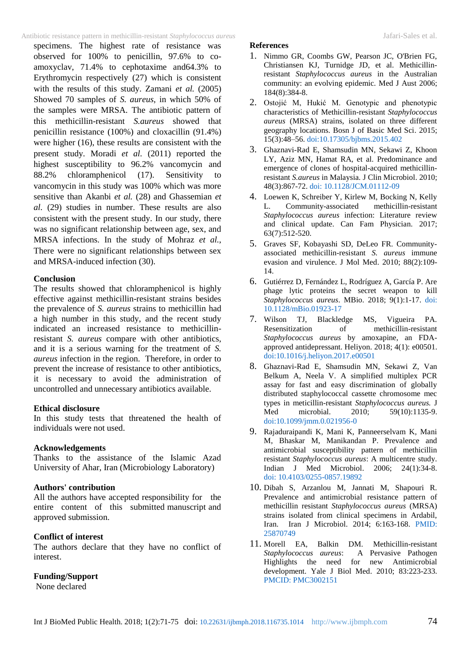### Antibiotic resistance pattern in methicillin-resistant *Staphylococcus aureus* Jafari-Sales et al.

specimens. The highest rate of resistance was observed for 100% to penicillin, 97.6% to coamoxyclav, 71.4% to cephotaxime and64.3% to Erythromycin respectively (27) which is consistent with the results of this study. Zamani *et al.* (2005) Showed 70 samples of *S. aureus*, in which 50% of the samples were MRSA. The antibiotic pattern of this methicillin-resistant *S.aureus* showed that penicillin resistance (100%) and cloxacillin (91.4%) were higher (16), these results are consistent with the present study. Moradi *et al.* (2011) reported the highest susceptibility to 96.2% vancomycin and 88.2% chloramphenicol (17). Sensitivity to vancomycin in this study was 100% which was more sensitive than Akanbi *et al.* (28) and Ghassemian *et al.* (29) studies in number. These results are also consistent with the present study. In our study, there was no significant relationship between age, sex, and MRSA infections. In the study of Mohraz *et al.*, There were no significant relationships between sex and MRSA-induced infection (30).

#### **Conclusion**

The results showed that chloramphenicol is highly effective against methicillin-resistant strains besides the prevalence of *S. aureus* strains to methicillin had a high number in this study, and the recent study indicated an increased resistance to methicillinresistant *S. aureus* compare with other antibiotics, and it is a serious warning for the treatment of *S. aureus* infection in the region. Therefore, in order to prevent the increase of resistance to other antibiotics, it is necessary to avoid the administration of uncontrolled and unnecessary antibiotics available.

#### **Ethical disclosure**

In this study tests that threatened the health of individuals were not used.

#### **Acknowledgements**

Thanks to the assistance of the Islamic Azad University of Ahar, Iran (Microbiology Laboratory)

## **Authors' contribution**

All the authors have accepted responsibility for the entire content of this submitted manuscript and approved submission.

### **Conflict of interest**

The authors declare that they have no conflict of interest.

### **Funding/Support**

None declared

## **References**

- 1. Nimmo GR, Coombs GW, Pearson JC, O'Brien FG, Christiansen KJ, Turnidge JD, et al. Methicillinresistant *Staphylococcus aureus* in the Australian community: an evolving epidemic. Med J Aust 2006; 184(8):384-8.
- 2. Ostojić M, Hukić M. Genotypic and phenotypic characteristics of Methicillin-resistant *Staphylococcus aureus* (MRSA) strains, isolated on three different geography locations. Bosn J of Basic Med Sci. 2015; 15(3):48–56. [doi:10.17305/bjbms.2015.402](https://dx.doi.org/10.17305/bjbms.2015.402)
- 3. Ghaznavi-Rad E, Shamsudin MN, Sekawi Z, Khoon LY, Aziz MN, Hamat RA, et al. Predominance and emergence of clones of hospital-acquired methicillinresistant *S.aureus* in Malaysia. J Clin Microbiol. 2010; 48(3):867-72. [doi: 10.1128/JCM.01112-09](http://jcm.asm.org/content/48/3/867.short)
- 4. Loewen K, Schreiber Y, Kirlew M, Bocking N, Kelly<br>L. Community-associated methicillin-resistant L. Community-associated *Staphylococcus aureus* infection: Literature review and clinical update. Can Fam Physician. 2017; 63(7):512-520.
- 5. Graves SF, Kobayashi SD, DeLeo FR. Communityassociated methicillin-resistant *S. aureus* immune evasion and virulence. J Mol Med. 2010; 88(2):109- 14.
- 6. Gutiérrez D, Fernández L, Rodríguez A, García P. Are phage lytic proteins the secret weapon to kill *Staphylococcus aureus*. MBio. 2018; 9(1):1-17. [doi:](http://mbio.asm.org/content/9/1/e01923-17.short)  [10.1128/mBio.01923-17](http://mbio.asm.org/content/9/1/e01923-17.short)
- 7. Wilson TJ, Blackledge MS, Vigueira PA. Resensitization of methicillin-resistant *Staphylococcus aureus* by amoxapine, an FDAapproved antidepressant. Heliyon. 2018; 4(1): e00501. [doi:10.1016/j.heliyon.2017.e00501](https://www.heliyon.com/article/e00501/)
- 8. Ghaznavi-Rad E, Shamsudin MN, Sekawi Z, Van Belkum A, Neela V. A simplified multiplex PCR assay for fast and easy discrimination of globally distributed staphylococcal cassette chromosome mec types in meticillin-resistant *Staphylococcus aureus.* J Med microbial. 2010; 59(10):1135-9. [doi:10.1099/jmm.0.021956-0](http://jmm.microbiologyresearch.org/content/journal/jmm/10.1099/jmm.0.021956-0)
- 9. Rajaduraipandi K, Mani K, Panneerselvam K, Mani M, Bhaskar M, Manikandan P. Prevalence and antimicrobial susceptibility pattern of methicillin resistant *Staphylococcus aureus*: A multicentre study. Indian J Med Microbiol. 2006; 24(1):34-8. doi: [10.4103/0255-0857.19892](http://www.ijmm.org/article.asp?issn=0255-0857;year=2006;volume=24;issue=1;spage=34;epage=38;aulast=Rajaduraipandi)
- 10. Dibah S, Arzanlou M, Jannati M, Shapouri R. Prevalence and antimicrobial resistance pattern of methicillin resistant *Staphylococcus aureus* (MRSA) strains isolated from clinical specimens in Ardabil, Iran. Iran J Microbiol. 2014; 6:163-168. PMID: [25870749](https://www.ncbi.nlm.nih.gov/pubmed/25870749)
- 11. Morell EA, Balkin DM. Methicillin-resistant *Staphylococcus aureus*: A Pervasive Pathogen Highlights the need for new Antimicrobial development. Yale J Biol Med. 2010; 83:223-233. [PMCID: PMC3002151](http://europepmc.org/articles/pmc3002151)